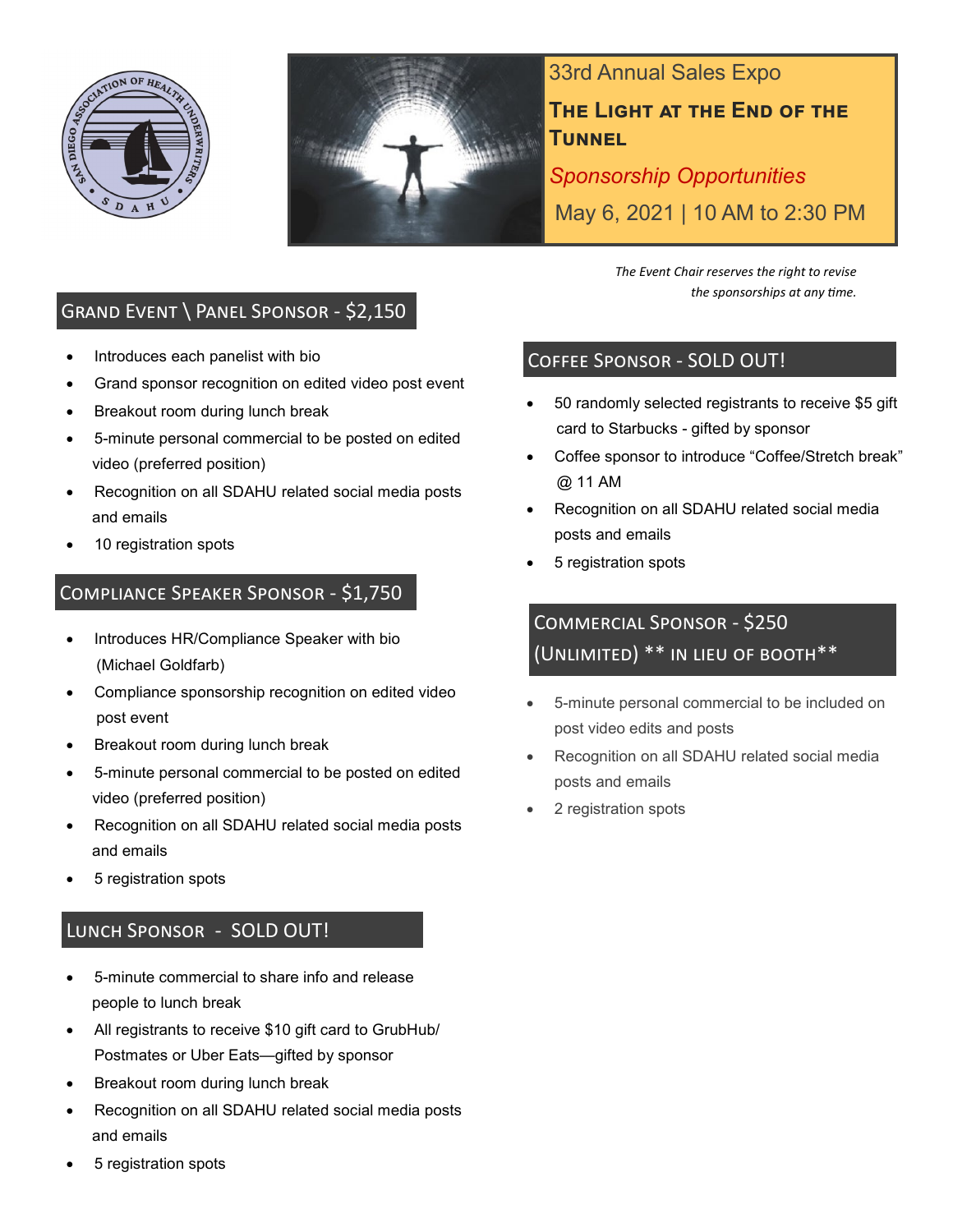



33rd Annual Sales Expo **The Light at the End of the Tunnel**

*Sponsorship Opportunities* May 6, 2021 | 10 AM to 2:30 PM

## Grand Event \ Panel Sponsor - \$2,150

- Introduces each panelist with bio
- Grand sponsor recognition on edited video post event
- Breakout room during lunch break
- 5-minute personal commercial to be posted on edited video (preferred position)
- Recognition on all SDAHU related social media posts and emails
- 10 registration spots

## Compliance Speaker Sponsor - \$1,750

- Introduces HR/Compliance Speaker with bio (Michael Goldfarb)
- Compliance sponsorship recognition on edited video post event
- Breakout room during lunch break
- 5-minute personal commercial to be posted on edited video (preferred position)
- Recognition on all SDAHU related social media posts and emails
- 5 registration spots

## Lunch Sponsor - SOLD OUT!

- 5-minute commercial to share info and release people to lunch break
- All registrants to receive \$10 gift card to GrubHub/ Postmates or Uber Eats—gifted by sponsor
- Breakout room during lunch break
- Recognition on all SDAHU related social media posts and emails
- 5 registration spots

*The Event Chair reserves the right to revise the sponsorships at any time.*

### Coffee Sponsor - SOLD OUT!

- 50 randomly selected registrants to receive \$5 gift card to Starbucks - gifted by sponsor
- Coffee sponsor to introduce "Coffee/Stretch break" @ 11 AM
- Recognition on all SDAHU related social media posts and emails
- 5 registration spots

# Commercial Sponsor - \$250 (Unlimited) \*\* in lieu of booth\*\*

- 5-minute personal commercial to be included on post video edits and posts
- Recognition on all SDAHU related social media posts and emails
- 2 registration spots